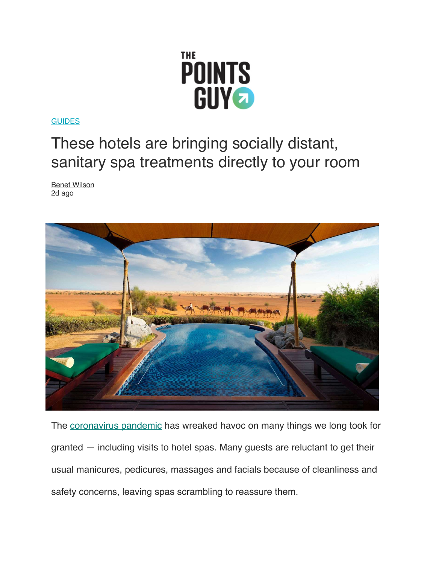

**[GUIDES](https://thepointsguy.com/guides/)** 

## These hotels are bringing socially distant, sanitary spa treatments directly to your room

[Benet Wilson](https://thepointsguy.com/author/benetjwilson/) 2d ago



The [coronavirus pandemic](https://thepointsguy.com/tag/coronavirus/) has wreaked havoc on many things we long took for granted — including visits to hotel spas. Many guests are reluctant to get their usual manicures, pedicures, massages and facials because of cleanliness and safety concerns, leaving spas scrambling to reassure them.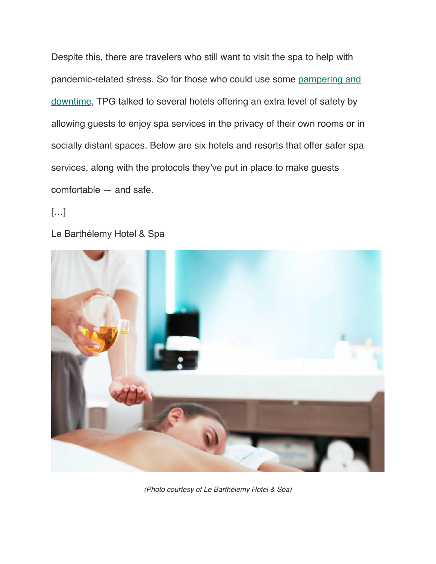Despite this, there are travelers who still want to visit the spa to help with pandemic-related stress. So for those who could use some [pampering and](https://thepointsguy.com/guide/best-spas-maldives/)  [downtime](https://thepointsguy.com/guide/best-spas-maldives/), TPG talked to several hotels offering an extra level of safety by allowing guests to enjoy spa services in the privacy of their own rooms or in socially distant spaces. Below are six hotels and resorts that offer safer spa services, along with the protocols they've put in place to make guests comfortable — and safe.

[…]

Le Barthélemy Hotel & Spa



*(Photo courtesy of Le Barthélemy Hotel & Spa)*